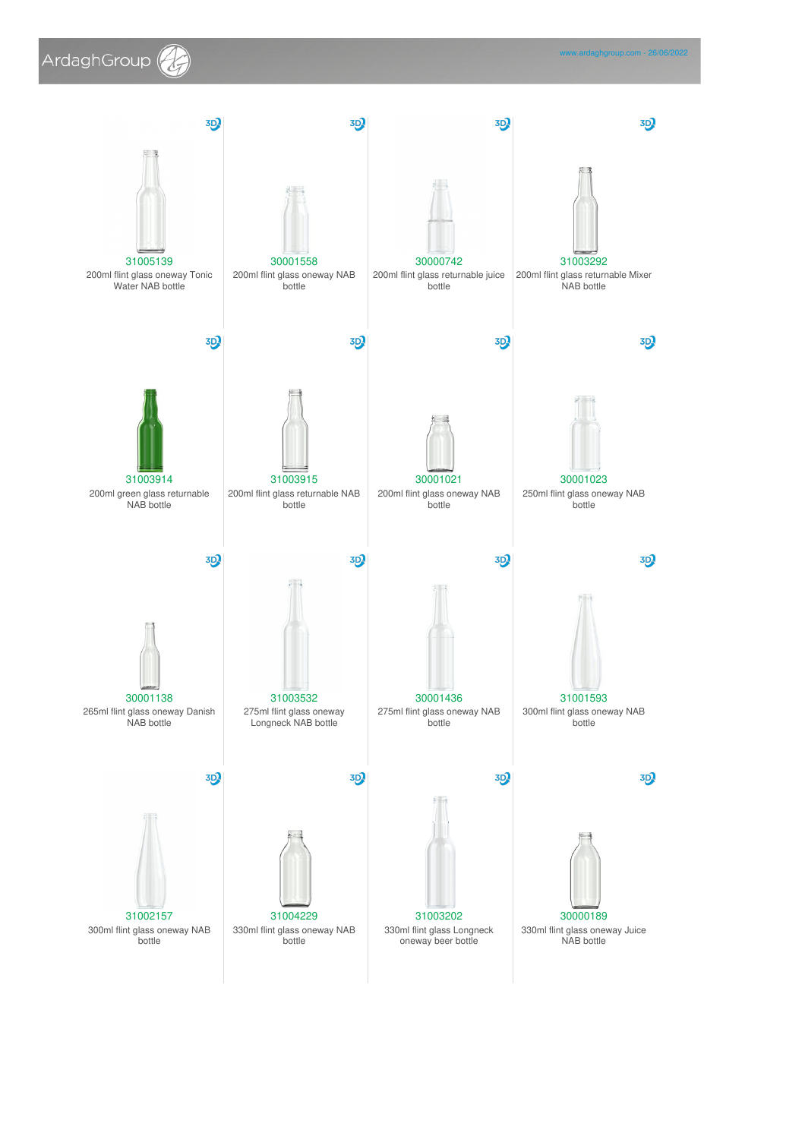

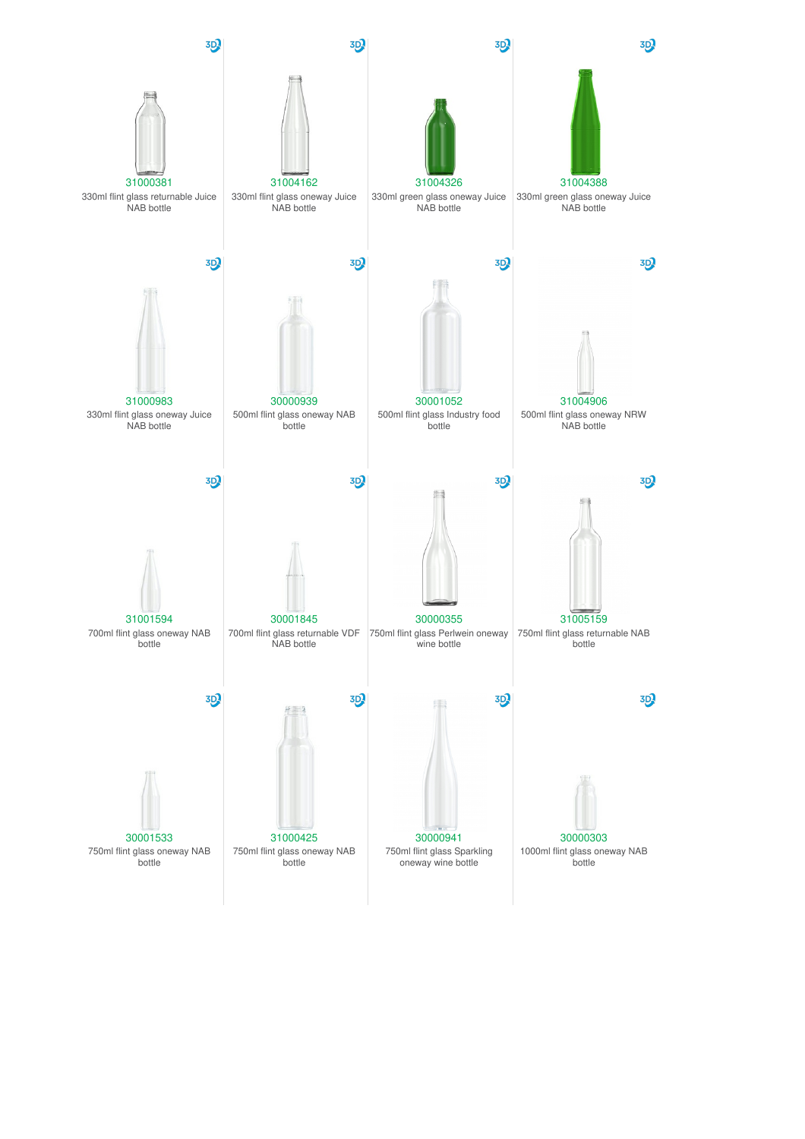